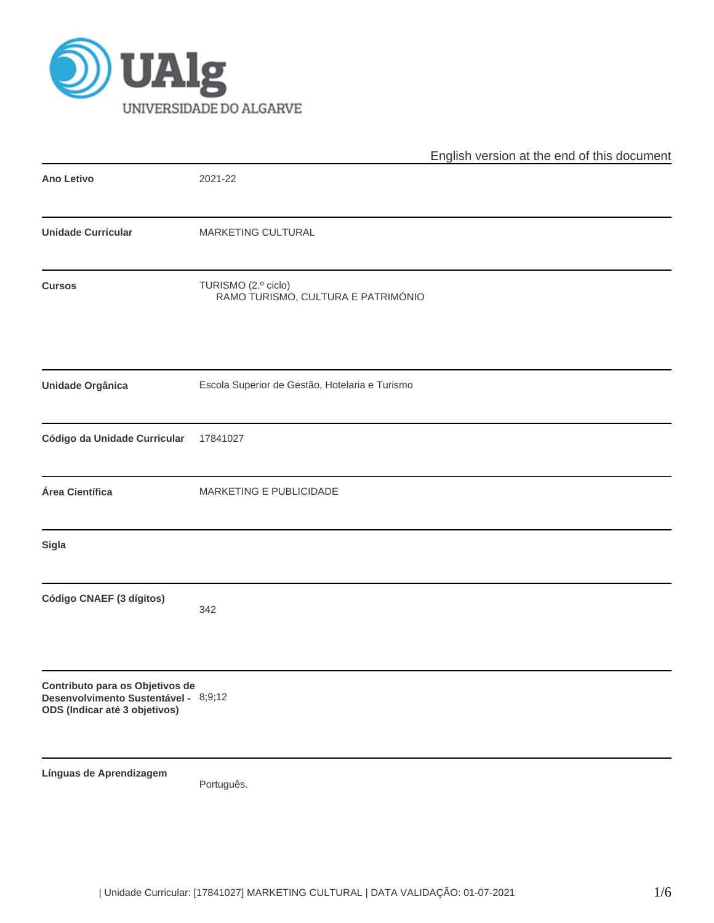

|                                                                                                          |                                                           | English version at the end of this document |
|----------------------------------------------------------------------------------------------------------|-----------------------------------------------------------|---------------------------------------------|
| <b>Ano Letivo</b>                                                                                        | 2021-22                                                   |                                             |
| <b>Unidade Curricular</b>                                                                                | MARKETING CULTURAL                                        |                                             |
| <b>Cursos</b>                                                                                            | TURISMO (2.º ciclo)<br>RAMO TURISMO, CULTURA E PATRIMÓNIO |                                             |
| Unidade Orgânica                                                                                         | Escola Superior de Gestão, Hotelaria e Turismo            |                                             |
| Código da Unidade Curricular                                                                             | 17841027                                                  |                                             |
| Área Científica                                                                                          | MARKETING E PUBLICIDADE                                   |                                             |
| Sigla                                                                                                    |                                                           |                                             |
| Código CNAEF (3 dígitos)                                                                                 | 342                                                       |                                             |
| Contributo para os Objetivos de<br>Desenvolvimento Sustentável - 8;9;12<br>ODS (Indicar até 3 objetivos) |                                                           |                                             |
| Línguas de Aprendizagem                                                                                  | Português.                                                |                                             |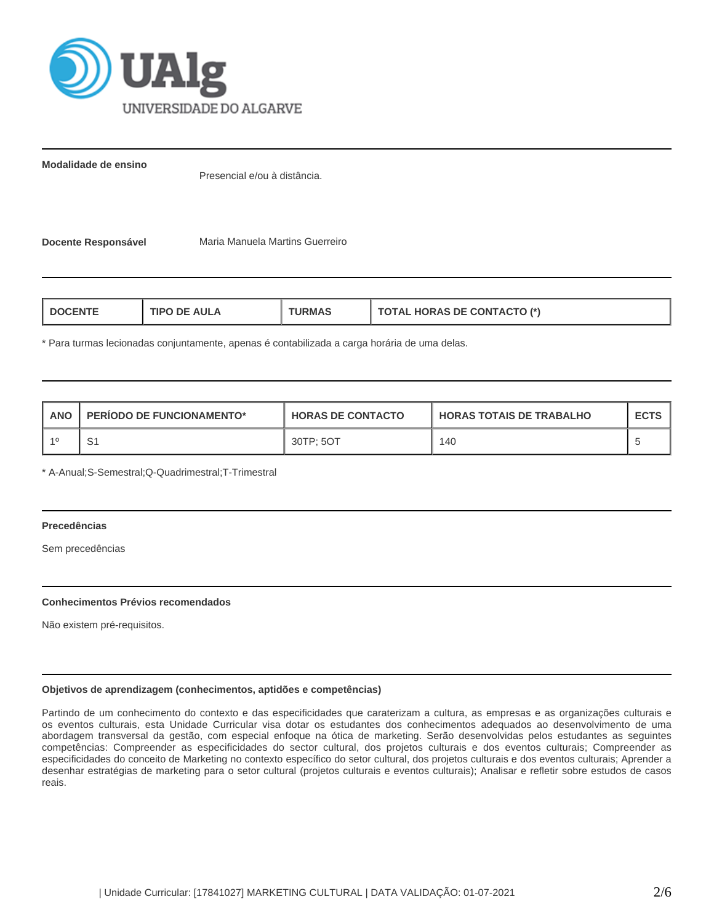

**Modalidade de ensino**

Presencial e/ou à distância.

**Docente Responsável Maria Manuela Martins Guerreiro** 

\* Para turmas lecionadas conjuntamente, apenas é contabilizada a carga horária de uma delas.

| <b>ANO</b> | <b>PERIODO DE FUNCIONAMENTO*</b> | <b>HORAS DE CONTACTO</b> | <b>HORAS TOTAIS DE TRABALHO</b> |  |
|------------|----------------------------------|--------------------------|---------------------------------|--|
|            | ັ                                | 30TP: 5OT                | 140                             |  |

\* A-Anual;S-Semestral;Q-Quadrimestral;T-Trimestral

# **Precedências**

Sem precedências

## **Conhecimentos Prévios recomendados**

Não existem pré-requisitos.

# **Objetivos de aprendizagem (conhecimentos, aptidões e competências)**

Partindo de um conhecimento do contexto e das especificidades que caraterizam a cultura, as empresas e as organizações culturais e os eventos culturais, esta Unidade Curricular visa dotar os estudantes dos conhecimentos adequados ao desenvolvimento de uma abordagem transversal da gestão, com especial enfoque na ótica de marketing. Serão desenvolvidas pelos estudantes as seguintes competências: Compreender as especificidades do sector cultural, dos projetos culturais e dos eventos culturais; Compreender as especificidades do conceito de Marketing no contexto específico do setor cultural, dos projetos culturais e dos eventos culturais; Aprender a desenhar estratégias de marketing para o setor cultural (projetos culturais e eventos culturais); Analisar e refletir sobre estudos de casos reais.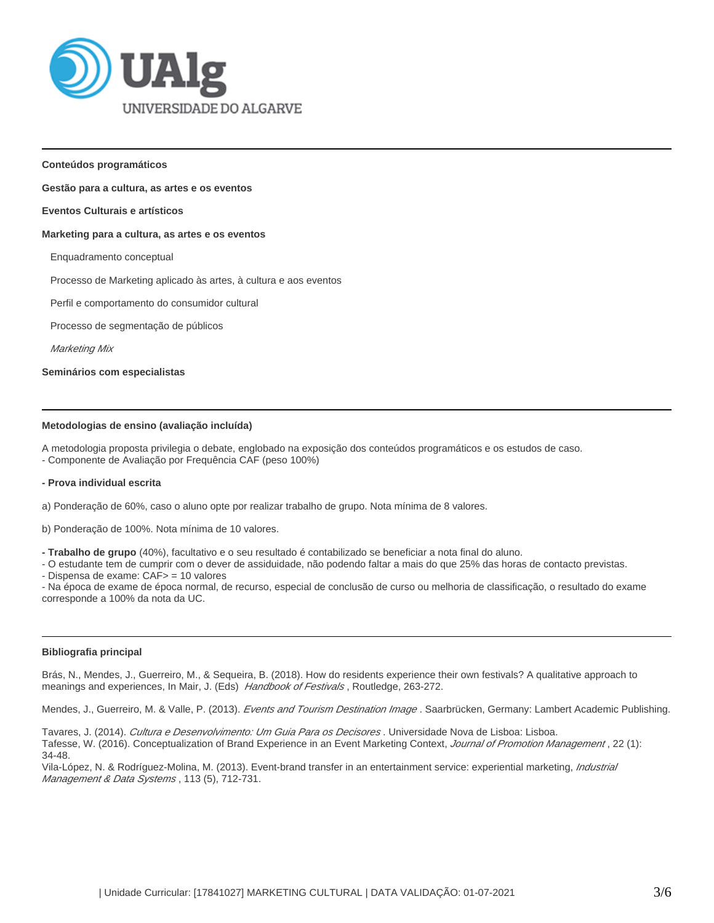

**Conteúdos programáticos**

#### **Gestão para a cultura, as artes e os eventos**

#### **Eventos Culturais e artísticos**

#### **Marketing para a cultura, as artes e os eventos**

Enquadramento conceptual

Processo de Marketing aplicado às artes, à cultura e aos eventos

Perfil e comportamento do consumidor cultural

Processo de segmentação de públicos

Marketing Mix

**Seminários com especialistas**

#### **Metodologias de ensino (avaliação incluída)**

A metodologia proposta privilegia o debate, englobado na exposição dos conteúdos programáticos e os estudos de caso. - Componente de Avaliação por Frequência CAF (peso 100%)

#### **- Prova individual escrita**

a) Ponderação de 60%, caso o aluno opte por realizar trabalho de grupo. Nota mínima de 8 valores.

b) Ponderação de 100%. Nota mínima de 10 valores.

**- Trabalho de grupo** (40%), facultativo e o seu resultado é contabilizado se beneficiar a nota final do aluno.

- O estudante tem de cumprir com o dever de assiduidade, não podendo faltar a mais do que 25% das horas de contacto previstas.

- Dispensa de exame: CAF> = 10 valores

- Na época de exame de época normal, de recurso, especial de conclusão de curso ou melhoria de classificação, o resultado do exame corresponde a 100% da nota da UC.

#### **Bibliografia principal**

Brás, N., Mendes, J., Guerreiro, M., & Sequeira, B. (2018). How do residents experience their own festivals? A qualitative approach to meanings and experiences, In Mair, J. (Eds) Handbook of Festivals, Routledge, 263-272.

Mendes, J., Guerreiro, M. & Valle, P. (2013). Events and Tourism Destination Image . Saarbrücken, Germany: Lambert Academic Publishing.

Tavares, J. (2014). Cultura e Desenvolvimento: Um Guia Para os Decisores. Universidade Nova de Lisboa: Lisboa. Tafesse, W. (2016). Conceptualization of Brand Experience in an Event Marketing Context, Journal of Promotion Management, 22 (1): 34-48.

Vila-López, N. & Rodríguez-Molina, M. (2013). Event-brand transfer in an entertainment service: experiential marketing, Industrial Management & Data Systems, 113 (5), 712-731.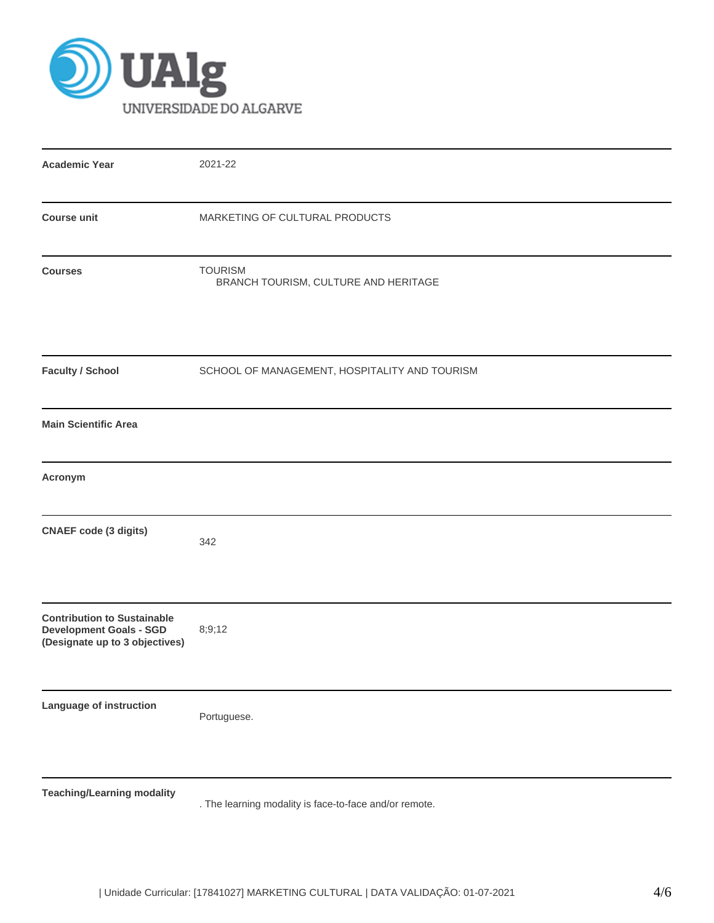

| <b>Academic Year</b>                                                                                   | 2021-22                                                |
|--------------------------------------------------------------------------------------------------------|--------------------------------------------------------|
| <b>Course unit</b>                                                                                     | MARKETING OF CULTURAL PRODUCTS                         |
| <b>Courses</b>                                                                                         | <b>TOURISM</b><br>BRANCH TOURISM, CULTURE AND HERITAGE |
| <b>Faculty / School</b>                                                                                | SCHOOL OF MANAGEMENT, HOSPITALITY AND TOURISM          |
| <b>Main Scientific Area</b>                                                                            |                                                        |
| Acronym                                                                                                |                                                        |
| <b>CNAEF code (3 digits)</b>                                                                           | 342                                                    |
| <b>Contribution to Sustainable</b><br><b>Development Goals - SGD</b><br>(Designate up to 3 objectives) | 8;9;12                                                 |
| Language of instruction                                                                                | Portuguese.                                            |
| <b>Teaching/Learning modality</b>                                                                      |                                                        |

. The learning modality is face-to-face and/or remote.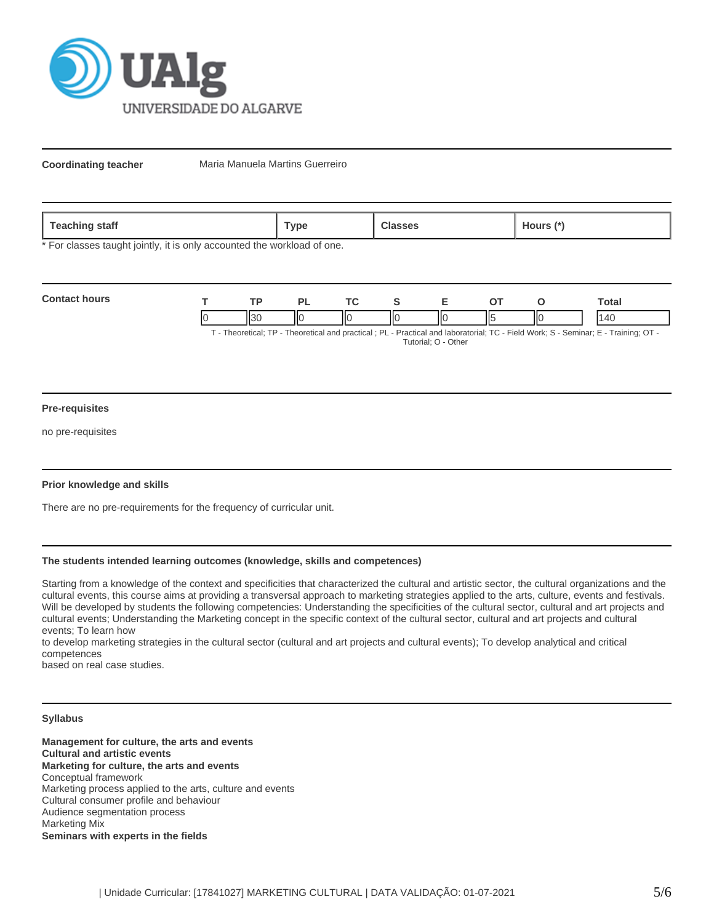

**Coordinating teacher** Maria Manuela Martins Guerreiro

| 020<br>statt<br><b>COLLIN</b><br>- | vpe' |  | ours |
|------------------------------------|------|--|------|
|------------------------------------|------|--|------|

\* For classes taught jointly, it is only accounted the workload of one.

| <b>Contact hours</b>                                                                                                  |  |  |  |     |  |    |   | <b>otal</b> |
|-----------------------------------------------------------------------------------------------------------------------|--|--|--|-----|--|----|---|-------------|
|                                                                                                                       |  |  |  | ll( |  | п. | Π |             |
| Theoretical: TD Theoretical and proctical : DL Dractical and Inhoratorial: TC Eiold Work: S. Sominar: E. Training: OT |  |  |  |     |  |    |   |             |

- Theoretical; TP - Theoretical and practical ; PL - Practical and laboratorial; TC - Field Work; S - Seminar; E - Training; OT Tutorial; O - Other

### **Pre-requisites**

no pre-requisites

## **Prior knowledge and skills**

There are no pre-requirements for the frequency of curricular unit.

# **The students intended learning outcomes (knowledge, skills and competences)**

Starting from a knowledge of the context and specificities that characterized the cultural and artistic sector, the cultural organizations and the cultural events, this course aims at providing a transversal approach to marketing strategies applied to the arts, culture, events and festivals. Will be developed by students the following competencies: Understanding the specificities of the cultural sector, cultural and art projects and cultural events; Understanding the Marketing concept in the specific context of the cultural sector, cultural and art projects and cultural events; To learn how

to develop marketing strategies in the cultural sector (cultural and art projects and cultural events); To develop analytical and critical competences

based on real case studies.

## **Syllabus**

**Management for culture, the arts and events Cultural and artistic events Marketing for culture, the arts and events**  Conceptual framework Marketing process applied to the arts, culture and events Cultural consumer profile and behaviour Audience segmentation process Marketing Mix **Seminars with experts in the fields**